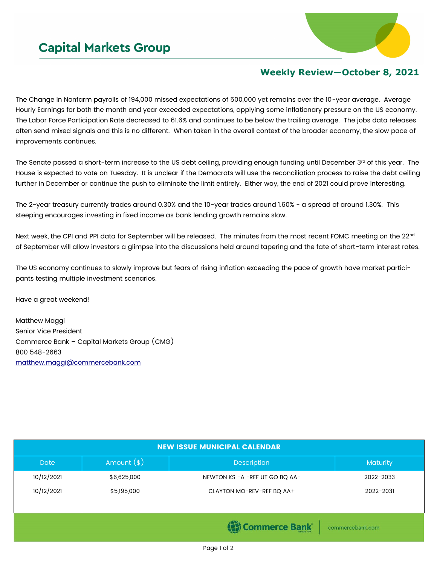

## **Weekly Review—October 8, 2021**

The Change in Nonfarm payrolls of 194,000 missed expectations of 500,000 yet remains over the 10-year average. Average Hourly Earnings for both the month and year exceeded expectations, applying some inflationary pressure on the US economy. The Labor Force Participation Rate decreased to 61.6% and continues to be below the trailing average. The jobs data releases often send mixed signals and this is no different. When taken in the overall context of the broader economy, the slow pace of improvements continues.

The Senate passed a short-term increase to the US debt ceiling, providing enough funding until December 3rd of this year. The House is expected to vote on Tuesday. It is unclear if the Democrats will use the reconciliation process to raise the debt ceiling further in December or continue the push to eliminate the limit entirely. Either way, the end of 2021 could prove interesting.

The 2-year treasury currently trades around 0.30% and the 10-year trades around 1.60% - a spread of around 1.30%. This steeping encourages investing in fixed income as bank lending growth remains slow.

Next week, the CPI and PPI data for September will be released. The minutes from the most recent FOMC meeting on the 22<sup>nd</sup> of September will allow investors a glimpse into the discussions held around tapering and the fate of short-term interest rates.

The US economy continues to slowly improve but fears of rising inflation exceeding the pace of growth have market participants testing multiple investment scenarios.

Have a great weekend!

Matthew Maggi Senior Vice President Commerce Bank – Capital Markets Group (CMG) 800 548-2663 [matthew.maggi@commercebank.com](mailto:matthew.maggi@commercebank.com)

| <b>NEW ISSUE MUNICIPAL CALENDAR</b> |              |                                  |                 |  |  |  |
|-------------------------------------|--------------|----------------------------------|-----------------|--|--|--|
| Date                                | Amount $(s)$ | Description                      | <b>Maturity</b> |  |  |  |
| 10/12/2021                          | \$6,625,000  | NEWTON KS - A - REF UT GO BQ AA- | 2022-2033       |  |  |  |
| 10/12/2021                          | \$5,195,000  | CLAYTON MO-REV-REF BQ AA+        | 2022-2031       |  |  |  |
|                                     |              |                                  |                 |  |  |  |
| Commerce Bank<br>commercebank.com   |              |                                  |                 |  |  |  |